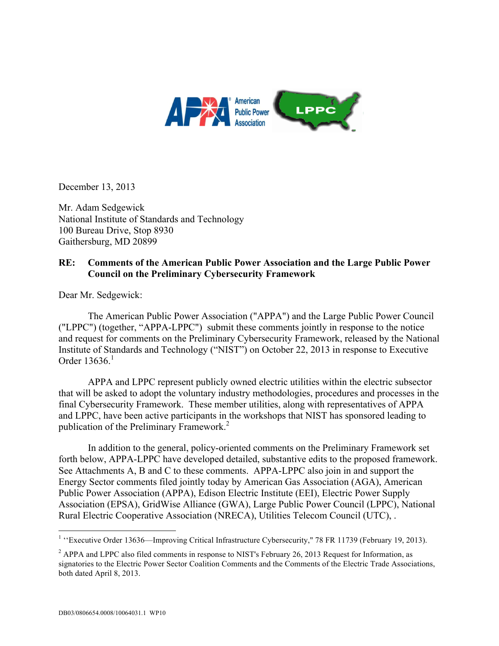

December 13, 2013

Mr. Adam Sedgewick National Institute of Standards and Technology 100 Bureau Drive, Stop 8930 Gaithersburg, MD 20899

# **RE: Comments of the American Public Power Association and the Large Public Power Council on the Preliminary Cybersecurity Framework**

Dear Mr. Sedgewick:

 The American Public Power Association ("APPA") and the Large Public Power Council ("LPPC") (together, "APPA-LPPC") submit these comments jointly in response to the notice and request for comments on the Preliminary Cybersecurity Framework, released by the National Institute of Standards and Technology ("NIST") on October 22, 2013 in response to Executive Order  $13636<sup>1</sup>$ 

 APPA and LPPC represent publicly owned electric utilities within the electric subsector that will be asked to adopt the voluntary industry methodologies, procedures and processes in the final Cybersecurity Framework. These member utilities, along with representatives of APPA and LPPC, have been active participants in the workshops that NIST has sponsored leading to publication of the Preliminary Framework.<sup>2</sup>

 In addition to the general, policy-oriented comments on the Preliminary Framework set See Attachments A, B and C to these comments. APPA-LPPC also join in and support the forth below, APPA-LPPC have developed detailed, substantive edits to the proposed framework. Energy Sector comments filed jointly today by American Gas Association (AGA), American Public Power Association (APPA), Edison Electric Institute (EEI), Electric Power Supply Association (EPSA), GridWise Alliance (GWA), Large Public Power Council (LPPC), National Rural Electric Cooperative Association (NRECA), Utilities Telecom Council (UTC), .

 $\overline{a}$ 

<sup>&</sup>lt;sup>1</sup> "Executive Order 13636—Improving Critical Infrastructure Cybersecurity," 78 FR 11739 (February 19, 2013).

 $2^2$  APPA and LPPC also filed comments in response to NIST's February 26, 2013 Request for Information, as signatories to the Electric Power Sector Coalition Comments and the Comments of the Electric Trade Associations, both dated April 8, 2013.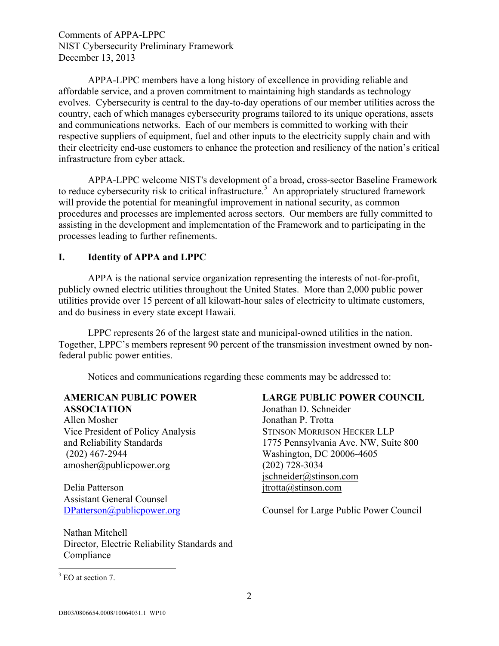evolves. Cybersecurity is central to the day-to-day operations of our member utilities across the and communications networks. Each of our members is committed to working with their respective suppliers of equipment, fuel and other inputs to the electricity supply chain and with infrastructure from cyber attack. APPA-LPPC members have a long history of excellence in providing reliable and affordable service, and a proven commitment to maintaining high standards as technology country, each of which manages cybersecurity programs tailored to its unique operations, assets their electricity end-use customers to enhance the protection and resiliency of the nation's critical

to reduce cybersecurity risk to critical infrastructure.<sup>3</sup> An appropriately structured framework APPA-LPPC welcome NIST's development of a broad, cross-sector Baseline Framework will provide the potential for meaningful improvement in national security, as common procedures and processes are implemented across sectors. Our members are fully committed to assisting in the development and implementation of the Framework and to participating in the processes leading to further refinements.

#### **I. Identity of APPA and LPPC**

APPA is the national service organization representing the interests of not-for-profit, publicly owned electric utilities throughout the United States. More than 2,000 public power utilities provide over 15 percent of all kilowatt-hour sales of electricity to ultimate customers, and do business in every state except Hawaii.

LPPC represents 26 of the largest state and municipal-owned utilities in the nation. Together, LPPC's members represent 90 percent of the transmission investment owned by nonfederal public power entities.

Notices and communications regarding these comments may be addressed to:

#### **AMERICAN PUBLIC POWER ASSOCIATION** Jonathan D. Schneider

Allen Mosher and Reliability Standards  $(202)$  467-2944 amosher@publicpower.org (202) 728-3034

Delia Patterson intervention in the settlement of the settlement of the settlement of the settlement of the set Assistant General Counsel

 Director, Electric Reliability Standards and Nathan Mitchell Compliance

## **LARGE PUBLIC POWER COUNCIL**

Vice President of Policy Analysis STINSON MORRISON HECKER LLP Jonathan P. Trotta 1775 Pennsylvania Ave. NW, Suite 800 Washington, DC 20006-4605 jschneider@stinson.com

DPatterson@publicpower.org Counsel for Large Public Power Council

 $\overline{a}$ 

<sup>&</sup>lt;sup>3</sup> EO at section 7.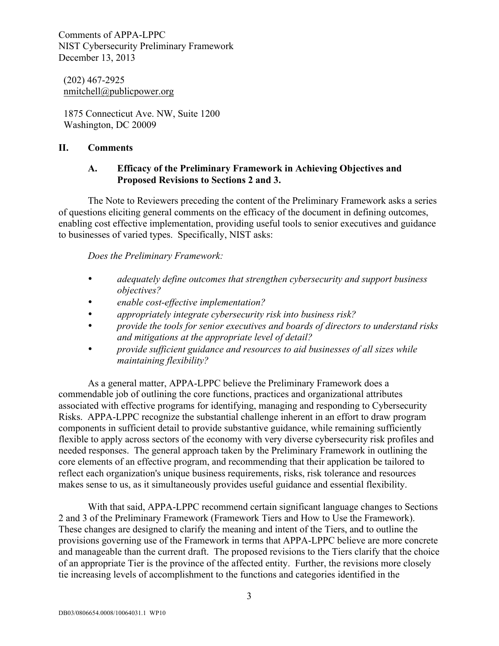(202) 467-2925 nmitchell@publicpower.org

 1875 Connecticut Ave. NW, Suite 1200 Washington, DC 20009

## **II. Comments**

## **A. Efficacy of the Preliminary Framework in Achieving Objectives and Proposed Revisions to Sections 2 and 3.**

 The Note to Reviewers preceding the content of the Preliminary Framework asks a series to businesses of varied types. Specifically, NIST asks: of questions eliciting general comments on the efficacy of the document in defining outcomes, enabling cost effective implementation, providing useful tools to senior executives and guidance

*Does the Preliminary Framework:* 

- • *adequately define outcomes that strengthen cybersecurity and support business objectives?*
- • *enable cost-effective implementation?*
- • *appropriately integrate cybersecurity risk into business risk?*
- • *provide the tools for senior executives and boards of directors to understand risks and mitigations at the appropriate level of detail?*
- *provide sufficient guidance and resources to aid businesses of all sizes while maintaining flexibility?*

As a general matter, APPA-LPPC believe the Preliminary Framework does a commendable job of outlining the core functions, practices and organizational attributes associated with effective programs for identifying, managing and responding to Cybersecurity Risks. APPA-LPPC recognize the substantial challenge inherent in an effort to draw program components in sufficient detail to provide substantive guidance, while remaining sufficiently flexible to apply across sectors of the economy with very diverse cybersecurity risk profiles and needed responses. The general approach taken by the Preliminary Framework in outlining the core elements of an effective program, and recommending that their application be tailored to reflect each organization's unique business requirements, risks, risk tolerance and resources makes sense to us, as it simultaneously provides useful guidance and essential flexibility.

 With that said, APPA-LPPC recommend certain significant language changes to Sections These changes are designed to clarify the meaning and intent of the Tiers, and to outline the 2 and 3 of the Preliminary Framework (Framework Tiers and How to Use the Framework). provisions governing use of the Framework in terms that APPA-LPPC believe are more concrete and manageable than the current draft. The proposed revisions to the Tiers clarify that the choice of an appropriate Tier is the province of the affected entity. Further, the revisions more closely tie increasing levels of accomplishment to the functions and categories identified in the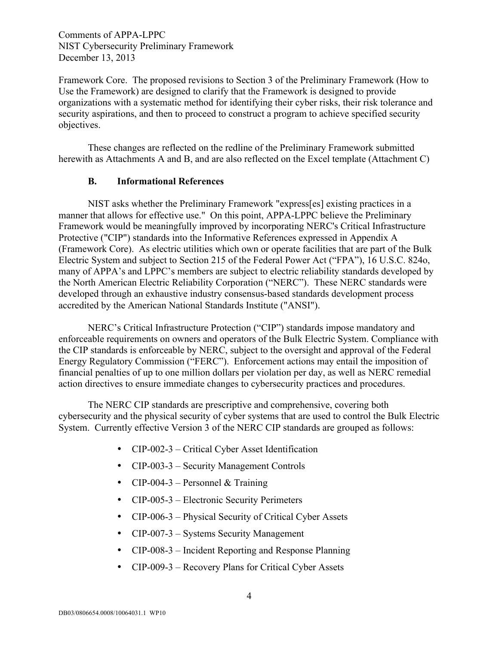Framework Core. The proposed revisions to Section 3 of the Preliminary Framework (How to Use the Framework) are designed to clarify that the Framework is designed to provide organizations with a systematic method for identifying their cyber risks, their risk tolerance and security aspirations, and then to proceed to construct a program to achieve specified security objectives.

 herewith as Attachments A and B, and are also reflected on the Excel template (Attachment C) These changes are reflected on the redline of the Preliminary Framework submitted

#### **B. Informational References**

 manner that allows for effective use." On this point, APPA-LPPC believe the Preliminary many of APPA's and LPPC's members are subject to electric reliability standards developed by NIST asks whether the Preliminary Framework "express[es] existing practices in a Framework would be meaningfully improved by incorporating NERC's Critical Infrastructure Protective ("CIP") standards into the Informative References expressed in Appendix A (Framework Core). As electric utilities which own or operate facilities that are part of the Bulk Electric System and subject to Section 215 of the Federal Power Act ("FPA"), 16 U.S.C. 824o, the North American Electric Reliability Corporation ("NERC"). These NERC standards were developed through an exhaustive industry consensus-based standards development process accredited by the American National Standards Institute ("ANSI").

 the CIP standards is enforceable by NERC, subject to the oversight and approval of the Federal NERC's Critical Infrastructure Protection ("CIP") standards impose mandatory and enforceable requirements on owners and operators of the Bulk Electric System. Compliance with Energy Regulatory Commission ("FERC"). Enforcement actions may entail the imposition of financial penalties of up to one million dollars per violation per day, as well as NERC remedial action directives to ensure immediate changes to cybersecurity practices and procedures.

 System. Currently effective Version 3 of the NERC CIP standards are grouped as follows: The NERC CIP standards are prescriptive and comprehensive, covering both cybersecurity and the physical security of cyber systems that are used to control the Bulk Electric

- CIP-002-3 Critical Cyber Asset Identification
- CIP-003-3 Security Management Controls
- CIP-004-3 Personnel  $&$  Training
- CIP-005-3 Electronic Security Perimeters
- CIP-006-3 Physical Security of Critical Cyber Assets
- CIP-007-3 Systems Security Management
- CIP-008-3 Incident Reporting and Response Planning
- CIP-009-3 Recovery Plans for Critical Cyber Assets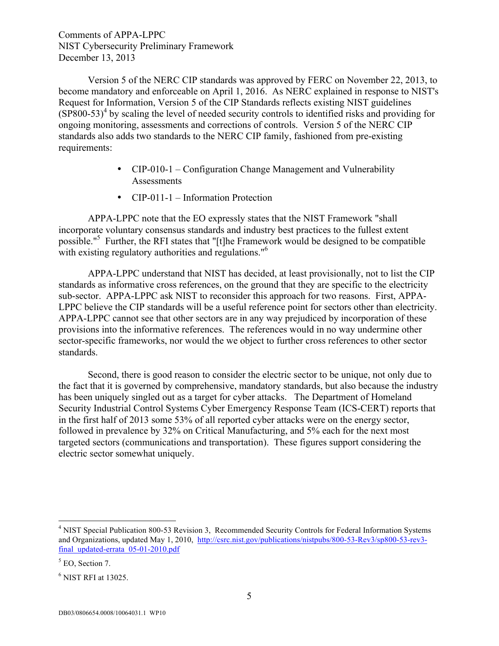Version 5 of the NERC CIP standards was approved by FERC on November 22, 2013, to become mandatory and enforceable on April 1, 2016. As NERC explained in response to NIST's Request for Information, Version 5 of the CIP Standards reflects existing NIST guidelines  $(SP800-53)^4$  by scaling the level of needed security controls to identified risks and providing for ongoing monitoring, assessments and corrections of controls. Version 5 of the NERC CIP standards also adds two standards to the NERC CIP family, fashioned from pre-existing requirements:

- Assessments • CIP-010-1 – Configuration Change Management and Vulnerability
- CIP-011-1 Information Protection

 APPA-LPPC note that the EO expressly states that the NIST Framework "shall possible."5 Further, the RFI states that "[t]he Framework would be designed to be compatible with existing regulatory authorities and regulations."<sup>6</sup> incorporate voluntary consensus standards and industry best practices to the fullest extent

 APPA-LPPC understand that NIST has decided, at least provisionally, not to list the CIP sector-specific frameworks, nor would the we object to further cross references to other sector standards as informative cross references, on the ground that they are specific to the electricity sub-sector. APPA-LPPC ask NIST to reconsider this approach for two reasons. First, APPA-LPPC believe the CIP standards will be a useful reference point for sectors other than electricity. APPA-LPPC cannot see that other sectors are in any way prejudiced by incorporation of these provisions into the informative references. The references would in no way undermine other standards.

Second, there is good reason to consider the electric sector to be unique, not only due to the fact that it is governed by comprehensive, mandatory standards, but also because the industry has been uniquely singled out as a target for cyber attacks. The Department of Homeland Security Industrial Control Systems Cyber Emergency Response Team (ICS-CERT) reports that in the first half of 2013 some 53% of all reported cyber attacks were on the energy sector, followed in prevalence by 32% on Critical Manufacturing, and 5% each for the next most targeted sectors (communications and transportation). These figures support considering the electric sector somewhat uniquely.

 $\overline{a}$ 

and Organizations, updated May 1, 2010, http://csrc.nist.gov/publications/nistpubs/800-53-Rev3/sp800-53-rev3final\_updated-errata\_05-01-2010.pdf<br> $<sup>5</sup>$  EO, Section 7.</sup> <sup>4</sup> NIST Special Publication 800-53 Revision 3, Recommended Security Controls for Federal Information Systems

 $<sup>5</sup>$  EO, Section 7.</sup>

 $<sup>6</sup>$  NIST RFI at 13025.</sup>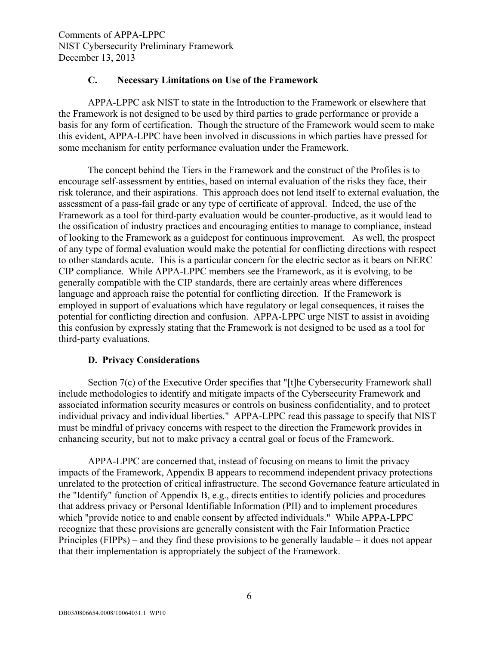## **C. Necessary Limitations on Use of the Framework**

APPA-LPPC ask NIST to state in the Introduction to the Framework or elsewhere that the Framework is not designed to be used by third parties to grade performance or provide a basis for any form of certification. Though the structure of the Framework would seem to make this evident, APPA-LPPC have been involved in discussions in which parties have pressed for some mechanism for entity performance evaluation under the Framework.

 The concept behind the Tiers in the Framework and the construct of the Profiles is to the ossification of industry practices and encouraging entities to manage to compliance, instead of looking to the Framework as a guidepost for continuous improvement. As well, the prospect potential for conflicting direction and confusion. APPA-LPPC urge NIST to assist in avoiding encourage self-assessment by entities, based on internal evaluation of the risks they face, their risk tolerance, and their aspirations. This approach does not lend itself to external evaluation, the assessment of a pass-fail grade or any type of certificate of approval. Indeed, the use of the Framework as a tool for third-party evaluation would be counter-productive, as it would lead to of any type of formal evaluation would make the potential for conflicting directions with respect to other standards acute. This is a particular concern for the electric sector as it bears on NERC CIP compliance. While APPA-LPPC members see the Framework, as it is evolving, to be generally compatible with the CIP standards, there are certainly areas where differences language and approach raise the potential for conflicting direction. If the Framework is employed in support of evaluations which have regulatory or legal consequences, it raises the this confusion by expressly stating that the Framework is not designed to be used as a tool for third-party evaluations.

## **D. Privacy Considerations**

 associated information security measures or controls on business confidentiality, and to protect individual privacy and individual liberties." APPA-LPPC read this passage to specify that NIST Section 7(c) of the Executive Order specifies that "[t]he Cybersecurity Framework shall include methodologies to identify and mitigate impacts of the Cybersecurity Framework and must be mindful of privacy concerns with respect to the direction the Framework provides in enhancing security, but not to make privacy a central goal or focus of the Framework.

 the "Identify" function of Appendix B, e.g., directs entities to identify policies and procedures Principles (FIPPs) – and they find these provisions to be generally laudable – it does not appear APPA-LPPC are concerned that, instead of focusing on means to limit the privacy impacts of the Framework, Appendix B appears to recommend independent privacy protections unrelated to the protection of critical infrastructure. The second Governance feature articulated in that address privacy or Personal Identifiable Information (PII) and to implement procedures which "provide notice to and enable consent by affected individuals." While APPA-LPPC recognize that these provisions are generally consistent with the Fair Information Practice that their implementation is appropriately the subject of the Framework.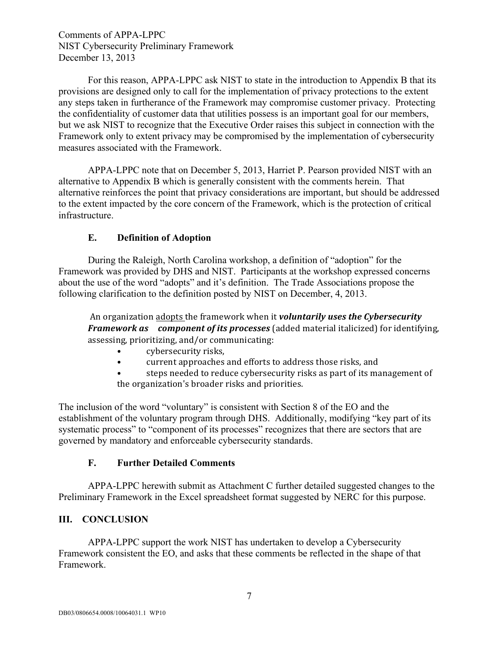For this reason, APPA-LPPC ask NIST to state in the introduction to Appendix B that its provisions are designed only to call for the implementation of privacy protections to the extent any steps taken in furtherance of the Framework may compromise customer privacy. Protecting the confidentiality of customer data that utilities possess is an important goal for our members, but we ask NIST to recognize that the Executive Order raises this subject in connection with the Framework only to extent privacy may be compromised by the implementation of cybersecurity measures associated with the Framework.

APPA-LPPC note that on December 5, 2013, Harriet P. Pearson provided NIST with an alternative to Appendix B which is generally consistent with the comments herein. That alternative reinforces the point that privacy considerations are important, but should be addressed to the extent impacted by the core concern of the Framework, which is the protection of critical infrastructure.

## **E. Definition of Adoption**

During the Raleigh, North Carolina workshop, a definition of "adoption" for the Framework was provided by DHS and NIST. Participants at the workshop expressed concerns about the use of the word "adopts" and it's definition. The Trade Associations propose the following clarification to the definition posted by NIST on December, 4, 2013.

An organization adopts the framework when it *voluntarily uses the Cybersecurity Framework as component of its processes* (added material italicized) for identifying, assessing, prioritizing, and/or communicating:

- cybersecurity risks,
- current approaches and efforts to address those risks, and
- steps needed to reduce cybersecurity risks as part of its management of the organization's broader risks and priorities.

The inclusion of the word "voluntary" is consistent with Section 8 of the EO and the establishment of the voluntary program through DHS. Additionally, modifying "key part of its systematic process" to "component of its processes" recognizes that there are sectors that are governed by mandatory and enforceable cybersecurity standards.

## **F. Further Detailed Comments**

 APPA-LPPC herewith submit as Attachment C further detailed suggested changes to the Preliminary Framework in the Excel spreadsheet format suggested by NERC for this purpose.

# **III. CONCLUSION**

APPA-LPPC support the work NIST has undertaken to develop a Cybersecurity Framework consistent the EO, and asks that these comments be reflected in the shape of that Framework.